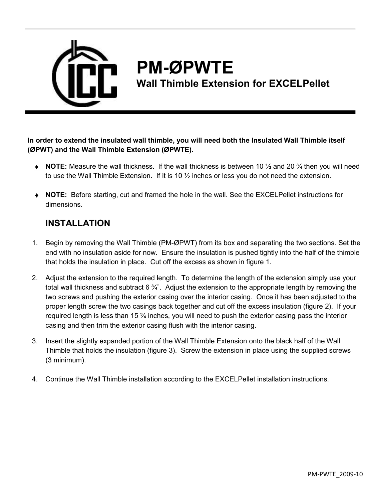

## **PM-ØPWTE**

**Wall Thimble Extension for EXCELPellet** 

**In order to extend the insulated wall thimble, you will need both the Insulated Wall Thimble itself (ØPWT) and the Wall Thimble Extension (ØPWTE).** 

- **NOTE:** Measure the wall thickness. If the wall thickness is between 10 ½ and 20 ¾ then you will need to use the Wall Thimble Extension. If it is 10  $\frac{1}{2}$  inches or less you do not need the extension.
- **NOTE:** Before starting, cut and framed the hole in the wall. See the EXCELPellet instructions for dimensions.

## **INSTALLATION**

- 1. Begin by removing the Wall Thimble (PM-ØPWT) from its box and separating the two sections. Set the end with no insulation aside for now. Ensure the insulation is pushed tightly into the half of the thimble that holds the insulation in place. Cut off the excess as shown in figure 1.
- 2. Adjust the extension to the required length. To determine the length of the extension simply use your total wall thickness and subtract 6 <sup>3</sup>/<sub>4</sub>". Adjust the extension to the appropriate length by removing the two screws and pushing the exterior casing over the interior casing. Once it has been adjusted to the proper length screw the two casings back together and cut off the excess insulation (figure 2). If your required length is less than 15 ¾ inches, you will need to push the exterior casing pass the interior casing and then trim the exterior casing flush with the interior casing.
- 3. Insert the slightly expanded portion of the Wall Thimble Extension onto the black half of the Wall Thimble that holds the insulation (figure 3). Screw the extension in place using the supplied screws (3 minimum).
- 4. Continue the Wall Thimble installation according to the EXCELPellet installation instructions.